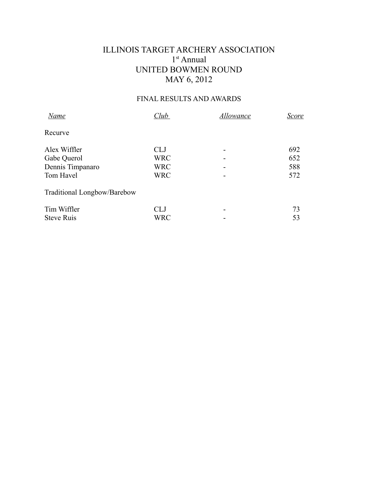## ILLINOIS TARGET ARCHERY ASSOCIATION 1 st Annual UNITED BOWMEN ROUND MAY 6, 2012

## FINAL RESULTS AND AWARDS

| <b>Name</b>                 | Club       | Allowance | Score |
|-----------------------------|------------|-----------|-------|
| Recurve                     |            |           |       |
| Alex Wiffler                | <b>CLJ</b> |           | 692   |
| Gabe Querol                 | <b>WRC</b> |           | 652   |
| Dennis Timpanaro            | <b>WRC</b> |           | 588   |
| Tom Havel                   | <b>WRC</b> |           | 572   |
| Traditional Longbow/Barebow |            |           |       |
| Tim Wiffler                 | <b>CLJ</b> |           | 73    |
| <b>Steve Ruis</b>           | <b>WRC</b> |           | 53    |